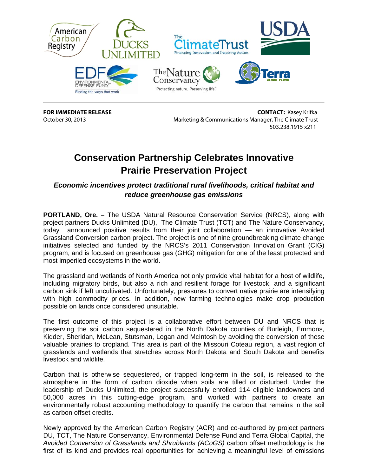

**FOR IMMEDIATE RELEASE CONTACT:** Kasey Krifka October 30, 2013 Marketing & Communications Manager, The Climate Trust 503.238.1915 x211

## **Conservation Partnership Celebrates Innovative Prairie Preservation Project**

*Economic incentives protect traditional rural livelihoods, critical habitat and reduce greenhouse gas emissions* 

**PORTLAND, Ore. –** The USDA Natural Resource Conservation Service (NRCS), along with project partners Ducks Unlimited (DU), The Climate Trust (TCT) and The Nature Conservancy, today announced positive results from their joint collaboration — an innovative Avoided Grassland Conversion carbon project. The project is one of nine groundbreaking climate change initiatives selected and funded by the NRCS's 2011 Conservation Innovation Grant (CIG) program, and is focused on greenhouse gas (GHG) mitigation for one of the least protected and most imperiled ecosystems in the world.

The grassland and wetlands of North America not only provide vital habitat for a host of wildlife, including migratory birds, but also a rich and resilient forage for livestock, and a significant carbon sink if left uncultivated. Unfortunately, pressures to convert native prairie are intensifying with high commodity prices. In addition, new farming technologies make crop production possible on lands once considered unsuitable.

The first outcome of this project is a collaborative effort between DU and NRCS that is preserving the soil carbon sequestered in the North Dakota counties of Burleigh, Emmons, Kidder, Sheridan, McLean, Stutsman, Logan and McIntosh by avoiding the conversion of these valuable prairies to cropland. This area is part of the Missouri Coteau region, a vast region of grasslands and wetlands that stretches across North Dakota and South Dakota and benefits livestock and wildlife.

Carbon that is otherwise sequestered, or trapped long-term in the soil, is released to the atmosphere in the form of carbon dioxide when soils are tilled or disturbed. Under the leadership of Ducks Unlimited, the project successfully enrolled 114 eligible landowners and 50,000 acres in this cutting-edge program, and worked with partners to create an environmentally robust accounting methodology to quantify the carbon that remains in the soil as carbon offset credits.

Newly approved by the American Carbon Registry (ACR) and co-authored by project partners DU, TCT, The Nature Conservancy, Environmental Defense Fund and Terra Global Capital, the *Avoided Conversion of Grasslands and Shrublands (ACoGS)* carbon offset methodology is the first of its kind and provides real opportunities for achieving a meaningful level of emissions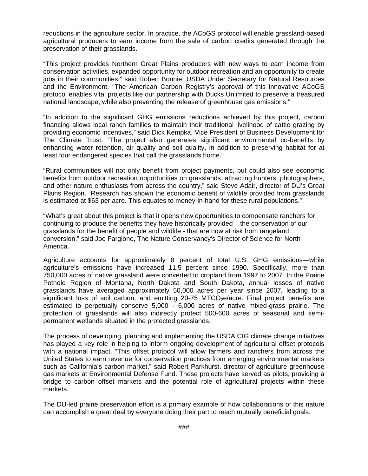reductions in the agriculture sector. In practice, the ACoGS protocol will enable grassland-based agricultural producers to earn income from the sale of carbon credits generated through the preservation of their grasslands.

"This project provides Northern Great Plains producers with new ways to earn income from conservation activities, expanded opportunity for outdoor recreation and an opportunity to create jobs in their communities," said Robert Bonnie, USDA Under Secretary for Natural Resources and the Environment. "The American Carbon Registry's approval of this innovative ACoGS protocol enables vital projects like our partnership with Ducks Unlimited to preserve a treasured national landscape, while also preventing the release of greenhouse gas emissions."

"In addition to the significant GHG emissions reductions achieved by this project, carbon financing allows local ranch families to maintain their traditional livelihood of cattle grazing by providing economic incentives," said Dick Kempka, Vice President of Business Development for The Climate Trust. "The project also generates significant environmental co-benefits by enhancing water retention, air quality and soil quality, in addition to preserving habitat for at least four endangered species that call the grasslands home."

"Rural communities will not only benefit from project payments, but could also see economic benefits from outdoor recreation opportunities on grasslands, attracting hunters, photographers, and other nature enthusiasts from across the country," said Steve Adair, director of DU's Great Plains Region. "Research has shown the economic benefit of wildlife provided from grasslands is estimated at \$63 per acre. This equates to money-in-hand for these rural populations."

"What's great about this project is that it opens new opportunities to compensate ranchers for continuing to produce the benefits they have historically provided – the conservation of our grasslands for the benefit of people and wildlife - that are now at risk from rangeland conversion," said Joe Fargione, The Nature Conservancy's Director of Science for North America.

Agriculture accounts for approximately 8 percent of total U.S. GHG emissions—while agriculture's emissions have increased 11.5 percent since 1990. Specifically, more than 750,000 acres of native grassland were converted to cropland from 1997 to 2007. In the Prairie Pothole Region of Montana, North Dakota and South Dakota, annual losses of native grasslands have averaged approximately 50,000 acres per year since 2007, leading to a significant loss of soil carbon, and emitting  $20-75$  MTCO<sub>2</sub>e/acre. Final project benefits are estimated to perpetually conserve 5,000 - 6,000 acres of native mixed-grass prairie. The protection of grasslands will also indirectly protect 500-600 acres of seasonal and semipermanent wetlands situated in the protected grasslands.

The process of developing, planning and implementing the USDA CIG climate change initiatives has played a key role in helping to inform ongoing development of agricultural offset protocols with a national impact. "This offset protocol will allow farmers and ranchers from across the United States to earn revenue for conservation practices from emerging environmental markets such as California's carbon market," said Robert Parkhurst, director of agriculture greenhouse gas markets at Environmental Defense Fund. These projects have served as pilots, providing a bridge to carbon offset markets and the potential role of agricultural projects within these markets.

The DU-led prairie preservation effort is a primary example of how collaborations of this nature can accomplish a great deal by everyone doing their part to reach mutually beneficial goals.